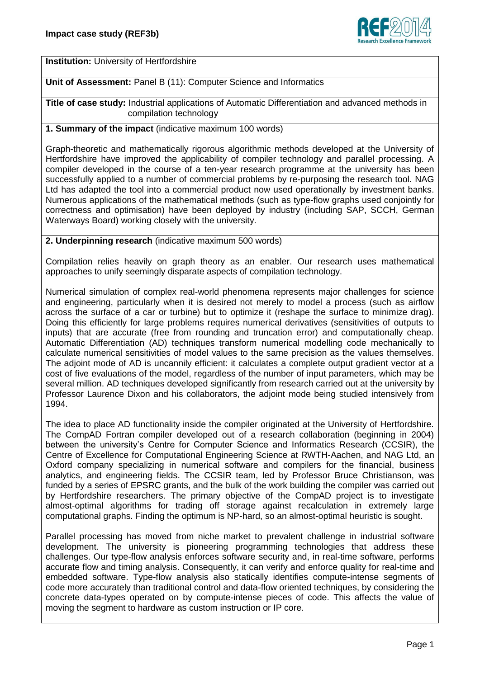

**Institution:** University of Hertfordshire

### **Unit of Assessment:** Panel B (11): Computer Science and Informatics

**Title of case study:** Industrial applications of Automatic Differentiation and advanced methods in compilation technology

#### **1. Summary of the impact** (indicative maximum 100 words)

Graph-theoretic and mathematically rigorous algorithmic methods developed at the University of Hertfordshire have improved the applicability of compiler technology and parallel processing. A compiler developed in the course of a ten-year research programme at the university has been successfully applied to a number of commercial problems by re-purposing the research tool. NAG Ltd has adapted the tool into a commercial product now used operationally by investment banks. Numerous applications of the mathematical methods (such as type-flow graphs used conjointly for correctness and optimisation) have been deployed by industry (including SAP, SCCH, German Waterways Board) working closely with the university.

#### **2. Underpinning research** (indicative maximum 500 words)

Compilation relies heavily on graph theory as an enabler. Our research uses mathematical approaches to unify seemingly disparate aspects of compilation technology.

Numerical simulation of complex real-world phenomena represents major challenges for science and engineering, particularly when it is desired not merely to model a process (such as airflow across the surface of a car or turbine) but to optimize it (reshape the surface to minimize drag). Doing this efficiently for large problems requires numerical derivatives (sensitivities of outputs to inputs) that are accurate (free from rounding and truncation error) and computationally cheap. Automatic Differentiation (AD) techniques transform numerical modelling code mechanically to calculate numerical sensitivities of model values to the same precision as the values themselves. The adjoint mode of AD is uncannily efficient: it calculates a complete output gradient vector at a cost of five evaluations of the model, regardless of the number of input parameters, which may be several million. AD techniques developed significantly from research carried out at the university by Professor Laurence Dixon and his collaborators, the adjoint mode being studied intensively from 1994.

The idea to place AD functionality inside the compiler originated at the University of Hertfordshire. The CompAD Fortran compiler developed out of a research collaboration (beginning in 2004) between the university's Centre for Computer Science and Informatics Research (CCSIR), the Centre of Excellence for Computational Engineering Science at RWTH-Aachen, and NAG Ltd, an Oxford company specializing in numerical software and compilers for the financial, business analytics, and engineering fields. The CCSIR team, led by Professor Bruce Christianson, was funded by a series of EPSRC grants, and the bulk of the work building the compiler was carried out by Hertfordshire researchers. The primary objective of the CompAD project is to investigate almost-optimal algorithms for trading off storage against recalculation in extremely large computational graphs. Finding the optimum is NP-hard, so an almost-optimal heuristic is sought.

Parallel processing has moved from niche market to prevalent challenge in industrial software development. The university is pioneering programming technologies that address these challenges. Our type-flow analysis enforces software security and, in real-time software, performs accurate flow and timing analysis. Consequently, it can verify and enforce quality for real-time and embedded software. Type-flow analysis also statically identifies compute-intense segments of code more accurately than traditional control and data-flow oriented techniques, by considering the concrete data-types operated on by compute-intense pieces of code. This affects the value of moving the segment to hardware as custom instruction or IP core.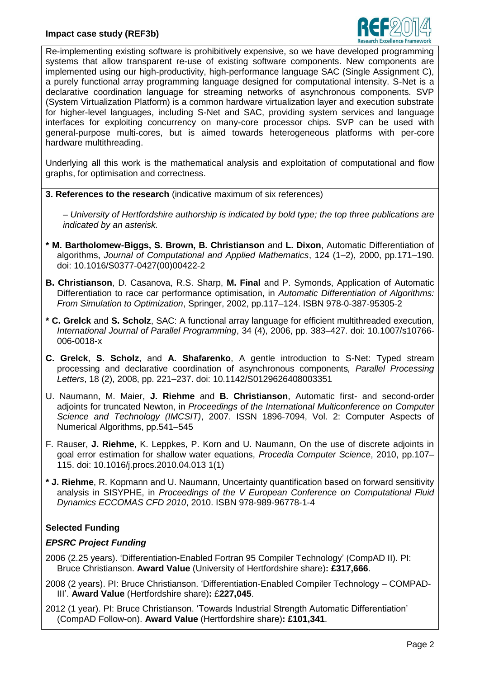

Re-implementing existing software is prohibitively expensive, so we have developed programming systems that allow transparent re-use of existing software components. New components are implemented using our high-productivity, high-performance language SAC (Single Assignment C), a purely functional array programming language designed for computational intensity. S-Net is a declarative coordination language for streaming networks of asynchronous components. SVP (System Virtualization Platform) is a common hardware virtualization layer and execution substrate for higher-level languages, including S-Net and SAC, providing system services and language interfaces for exploiting concurrency on many-core processor chips. SVP can be used with general-purpose multi-cores, but is aimed towards heterogeneous platforms with per-core hardware multithreading.

Underlying all this work is the mathematical analysis and exploitation of computational and flow graphs, for optimisation and correctness.

**3. References to the research** (indicative maximum of six references)

*– University of Hertfordshire authorship is indicated by bold type; the top three publications are indicated by an asterisk.*

- **\* M. Bartholomew-Biggs, S. Brown, B. Christianson** and **L. Dixon**, Automatic Differentiation of algorithms, *Journal of Computational and Applied Mathematics*, 124 (1–2), 2000, pp.171–190. doi: 10.1016/S0377-0427(00)00422-2
- **B. Christianson**, D. Casanova, R.S. Sharp, **M. Final** and P. Symonds, Application of Automatic Differentiation to race car performance optimisation, in *Automatic Differentiation of Algorithms: From Simulation to Optimization*, Springer, 2002, pp.117–124. ISBN 978-0-387-95305-2
- **\* C. Grelck** and **S. Scholz**, SAC: A functional array language for efficient multithreaded execution, *International Journal of Parallel Programming*, 34 (4), 2006, pp. 383–427. doi: 10.1007/s10766- 006-0018-x
- **C. Grelck**, **S. Scholz**, and **A. Shafarenko**, A gentle introduction to S-Net: Typed stream processing and declarative coordination of asynchronous components*, Parallel Processing Letters*, 18 (2), 2008, pp. 221–237. doi: 10.1142/S0129626408003351
- U. Naumann, M. Maier, **J. Riehme** and **B. Christianson**, Automatic first- and second-order adjoints for truncated Newton, in *Proceedings of the International Multiconference on Computer Science and Technology (IMCSIT)*, 2007. ISSN 1896-7094, Vol. 2: Computer Aspects of Numerical Algorithms, pp.541–545
- F. Rauser, **J. Riehme**, K. Leppkes, P. Korn and U. Naumann, On the use of discrete adjoints in goal error estimation for shallow water equations, *Procedia Computer Science*, 2010, pp.107– 115. doi: 10.1016/j.procs.2010.04.013 1(1)
- **\* J. Riehme**, R. Kopmann and U. Naumann, Uncertainty quantification based on forward sensitivity analysis in SISYPHE, in *Proceedings of the V European Conference on Computational Fluid Dynamics ECCOMAS CFD 2010*, 2010. ISBN 978-989-96778-1-4

# **Selected Funding**

### *EPSRC Project Funding*

- 2006 (2.25 years). 'Differentiation-Enabled Fortran 95 Compiler Technology' (CompAD II). PI: Bruce Christianson. **Award Value** (University of Hertfordshire share)**: £317,666**.
- 2008 (2 years). PI: Bruce Christianson. 'Differentiation-Enabled Compiler Technology COMPAD-III'. **Award Value** (Hertfordshire share)**:** £**227,045**.
- 2012 (1 year). PI: Bruce Christianson. 'Towards Industrial Strength Automatic Differentiation' (CompAD Follow-on). **Award Value** (Hertfordshire share)**: £101,341**.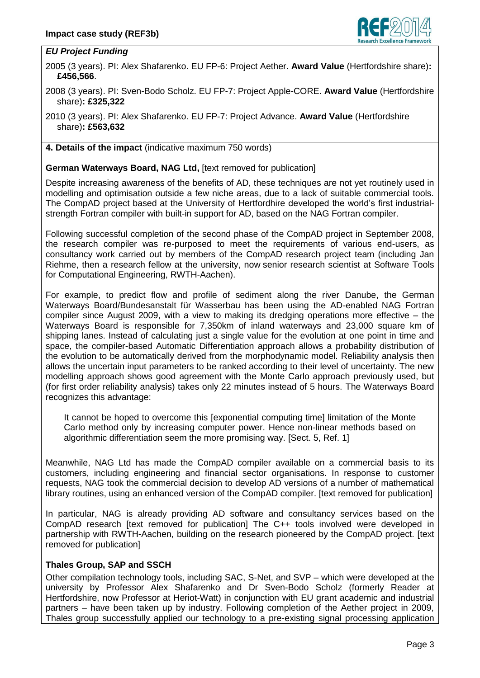

## *EU Project Funding*

2005 (3 years). PI: Alex Shafarenko. EU FP-6: Project Aether. **Award Value** (Hertfordshire share)**: £456,566**.

2008 (3 years). PI: Sven-Bodo Scholz. EU FP-7: Project Apple-CORE. **Award Value** (Hertfordshire share)**: £325,322**

2010 (3 years). PI: Alex Shafarenko. EU FP-7: Project Advance. **Award Value** (Hertfordshire share)**: £563,632**

**4. Details of the impact** (indicative maximum 750 words)

**German Waterways Board, NAG Ltd,** [text removed for publication]

Despite increasing awareness of the benefits of AD, these techniques are not yet routinely used in modelling and optimisation outside a few niche areas, due to a lack of suitable commercial tools. The CompAD project based at the University of Hertfordhire developed the world's first industrialstrength Fortran compiler with built-in support for AD, based on the NAG Fortran compiler.

Following successful completion of the second phase of the CompAD project in September 2008, the research compiler was re-purposed to meet the requirements of various end-users, as consultancy work carried out by members of the CompAD research project team (including Jan Riehme, then a research fellow at the university, now senior research scientist at Software Tools for Computational Engineering, RWTH-Aachen).

For example, to predict flow and profile of sediment along the river Danube, the German Waterways Board/Bundesanstalt für Wasserbau has been using the AD-enabled NAG Fortran compiler since August 2009, with a view to making its dredging operations more effective – the Waterways Board is responsible for 7,350km of inland waterways and 23,000 square km of shipping lanes. Instead of calculating just a single value for the evolution at one point in time and space, the compiler-based Automatic Differentiation approach allows a probability distribution of the evolution to be automatically derived from the morphodynamic model. Reliability analysis then allows the uncertain input parameters to be ranked according to their level of uncertainty. The new modelling approach shows good agreement with the Monte Carlo approach previously used, but (for first order reliability analysis) takes only 22 minutes instead of 5 hours. The Waterways Board recognizes this advantage:

It cannot be hoped to overcome this [exponential computing time] limitation of the Monte Carlo method only by increasing computer power. Hence non-linear methods based on algorithmic differentiation seem the more promising way. [Sect. 5, Ref. 1]

Meanwhile, NAG Ltd has made the CompAD compiler available on a commercial basis to its customers, including engineering and financial sector organisations. In response to customer requests, NAG took the commercial decision to develop AD versions of a number of mathematical library routines, using an enhanced version of the CompAD compiler. [text removed for publication]

In particular, NAG is already providing AD software and consultancy services based on the CompAD research [text removed for publication] The C++ tools involved were developed in partnership with RWTH-Aachen, building on the research pioneered by the CompAD project. [text removed for publication]

# **Thales Group, SAP and SSCH**

Other compilation technology tools, including SAC, S-Net, and SVP – which were developed at the university by Professor Alex Shafarenko and Dr Sven-Bodo Scholz (formerly Reader at Hertfordshire, now Professor at Heriot-Watt) in conjunction with EU grant academic and industrial partners – have been taken up by industry. Following completion of the Aether project in 2009, Thales group successfully applied our technology to a pre-existing signal processing application